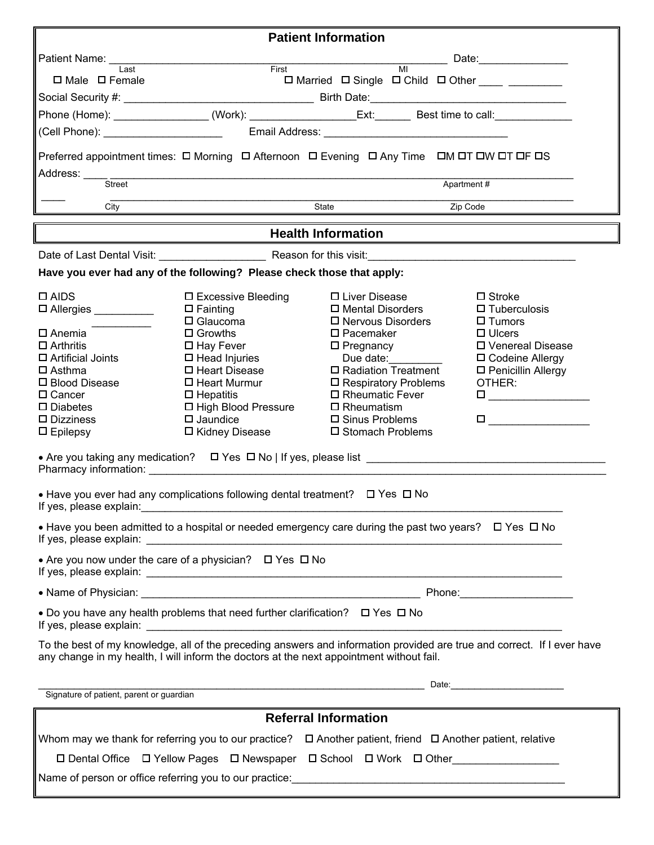| <b>Patient Information</b>                                                                                                                                                                                                                                                                                                                                                                                                                                                                                                                                                                 |                                                                                                                                                                                                                                                                           |                                                                                                                                                                                                                                                                                               |            |                                                                                                                                                                                                        |  |  |  |  |
|--------------------------------------------------------------------------------------------------------------------------------------------------------------------------------------------------------------------------------------------------------------------------------------------------------------------------------------------------------------------------------------------------------------------------------------------------------------------------------------------------------------------------------------------------------------------------------------------|---------------------------------------------------------------------------------------------------------------------------------------------------------------------------------------------------------------------------------------------------------------------------|-----------------------------------------------------------------------------------------------------------------------------------------------------------------------------------------------------------------------------------------------------------------------------------------------|------------|--------------------------------------------------------------------------------------------------------------------------------------------------------------------------------------------------------|--|--|--|--|
| _____ Date:________________                                                                                                                                                                                                                                                                                                                                                                                                                                                                                                                                                                |                                                                                                                                                                                                                                                                           |                                                                                                                                                                                                                                                                                               |            |                                                                                                                                                                                                        |  |  |  |  |
| I ast<br>$\Box$ Male $\Box$ Female                                                                                                                                                                                                                                                                                                                                                                                                                                                                                                                                                         | $\overline{M}$<br>First<br>□ Married □ Single □ Child □ Other ____ ________                                                                                                                                                                                               |                                                                                                                                                                                                                                                                                               |            |                                                                                                                                                                                                        |  |  |  |  |
|                                                                                                                                                                                                                                                                                                                                                                                                                                                                                                                                                                                            |                                                                                                                                                                                                                                                                           |                                                                                                                                                                                                                                                                                               |            |                                                                                                                                                                                                        |  |  |  |  |
|                                                                                                                                                                                                                                                                                                                                                                                                                                                                                                                                                                                            |                                                                                                                                                                                                                                                                           |                                                                                                                                                                                                                                                                                               |            |                                                                                                                                                                                                        |  |  |  |  |
|                                                                                                                                                                                                                                                                                                                                                                                                                                                                                                                                                                                            |                                                                                                                                                                                                                                                                           |                                                                                                                                                                                                                                                                                               |            |                                                                                                                                                                                                        |  |  |  |  |
| Preferred appointment times: O Morning O Afternoon O Evening O Any Time OM OT OW OT OF OS                                                                                                                                                                                                                                                                                                                                                                                                                                                                                                  |                                                                                                                                                                                                                                                                           |                                                                                                                                                                                                                                                                                               |            |                                                                                                                                                                                                        |  |  |  |  |
| Address: _____ ___<br>Street                                                                                                                                                                                                                                                                                                                                                                                                                                                                                                                                                               |                                                                                                                                                                                                                                                                           |                                                                                                                                                                                                                                                                                               | Apartment# |                                                                                                                                                                                                        |  |  |  |  |
| City                                                                                                                                                                                                                                                                                                                                                                                                                                                                                                                                                                                       | State<br>Zip Code                                                                                                                                                                                                                                                         |                                                                                                                                                                                                                                                                                               |            |                                                                                                                                                                                                        |  |  |  |  |
| <b>Health Information</b>                                                                                                                                                                                                                                                                                                                                                                                                                                                                                                                                                                  |                                                                                                                                                                                                                                                                           |                                                                                                                                                                                                                                                                                               |            |                                                                                                                                                                                                        |  |  |  |  |
|                                                                                                                                                                                                                                                                                                                                                                                                                                                                                                                                                                                            |                                                                                                                                                                                                                                                                           |                                                                                                                                                                                                                                                                                               |            |                                                                                                                                                                                                        |  |  |  |  |
| Have you ever had any of the following? Please check those that apply:                                                                                                                                                                                                                                                                                                                                                                                                                                                                                                                     |                                                                                                                                                                                                                                                                           |                                                                                                                                                                                                                                                                                               |            |                                                                                                                                                                                                        |  |  |  |  |
| $\Box$ AIDS<br>$\square$ Allergies $\_\_\_\_\_\_\_\_\_\_\_\_\_\_\_\_$<br>ロ Anemia<br>$\Box$ Arthritis<br>$\Box$ Artificial Joints<br>$\square$ Asthma<br>□ Blood Disease<br>$\Box$ Cancer<br>$\square$ Diabetes<br>$\square$ Dizziness<br>$\square$ Epilepsy<br>• Are you taking any medication? $\Box$ Yes $\Box$ No   If yes, please list $\Box$<br>• Have you ever had any complications following dental treatment? $\Box$ Yes $\Box$ No<br>If yes, please explain:<br>• Have you been admitted to a hospital or needed emergency care during the past two years? $\Box$ Yes $\Box$ No | $\square$ Excessive Bleeding<br>$\square$ Fainting<br>$\Box$ Glaucoma<br>$\Box$ Growths<br>$\Box$ Hay Fever<br>$\Box$ Head Injuries<br>$\Box$ Heart Disease<br>$\Box$ Heart Murmur<br>$\Box$ Hepatitis<br>□ High Blood Pressure<br>$\square$ Jaundice<br>□ Kidney Disease | □ Liver Disease<br>$\square$ Mental Disorders<br>$\Box$ Nervous Disorders<br>$\square$ Pacemaker<br>$\square$ Pregnancy<br>Due date:<br>$\Box$ Radiation Treatment<br>$\square$ Respiratory Problems<br>$\Box$ Rheumatic Fever<br>$\Box$ Rheumatism<br>□ Sinus Problems<br>□ Stomach Problems |            | $\Box$ Stroke<br>$\Box$ Tuberculosis<br>$\square$ Tumors<br>$\Box$ Ulcers<br>□ Venereal Disease<br>□ Codeine Allergy<br>□ Penicillin Allergy<br>OTHER:<br><u> 1989 - Johann Barbara, martin a</u><br>□ |  |  |  |  |
| • Are you now under the care of a physician? $\Box$ Yes $\Box$ No                                                                                                                                                                                                                                                                                                                                                                                                                                                                                                                          |                                                                                                                                                                                                                                                                           |                                                                                                                                                                                                                                                                                               |            |                                                                                                                                                                                                        |  |  |  |  |
|                                                                                                                                                                                                                                                                                                                                                                                                                                                                                                                                                                                            |                                                                                                                                                                                                                                                                           |                                                                                                                                                                                                                                                                                               |            |                                                                                                                                                                                                        |  |  |  |  |
| • Do you have any health problems that need further clarification? $\Box$ Yes $\Box$ No                                                                                                                                                                                                                                                                                                                                                                                                                                                                                                    |                                                                                                                                                                                                                                                                           |                                                                                                                                                                                                                                                                                               |            |                                                                                                                                                                                                        |  |  |  |  |
| To the best of my knowledge, all of the preceding answers and information provided are true and correct. If I ever have<br>any change in my health, I will inform the doctors at the next appointment without fail.                                                                                                                                                                                                                                                                                                                                                                        |                                                                                                                                                                                                                                                                           |                                                                                                                                                                                                                                                                                               |            |                                                                                                                                                                                                        |  |  |  |  |
| Signature of patient, parent or guardian                                                                                                                                                                                                                                                                                                                                                                                                                                                                                                                                                   | <u>Date: http://www.information.com/information.com/information.com/information.com/information.com/information.com/information.com/information.com/information.com/information.com/information.com/information.com/information.</u>                                      |                                                                                                                                                                                                                                                                                               |            |                                                                                                                                                                                                        |  |  |  |  |
| <u> 1980 - Johann Barnett, fransk politik (f. 1980)</u><br><b>Referral Information</b>                                                                                                                                                                                                                                                                                                                                                                                                                                                                                                     |                                                                                                                                                                                                                                                                           |                                                                                                                                                                                                                                                                                               |            |                                                                                                                                                                                                        |  |  |  |  |
| Whom may we thank for referring you to our practice? $\Box$ Another patient, friend $\Box$ Another patient, relative<br>□ Dental Office □ Yellow Pages □ Newspaper □ School □ Work □ Other                                                                                                                                                                                                                                                                                                                                                                                                 |                                                                                                                                                                                                                                                                           |                                                                                                                                                                                                                                                                                               |            |                                                                                                                                                                                                        |  |  |  |  |